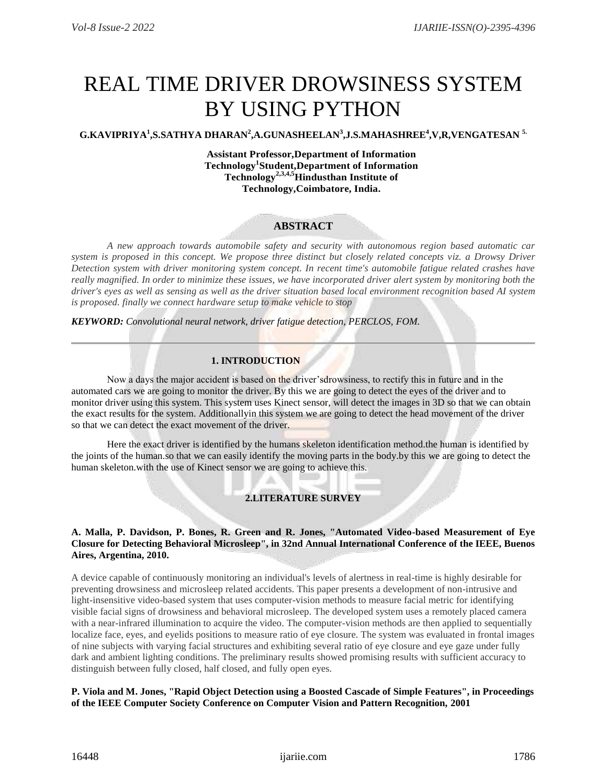# REAL TIME DRIVER DROWSINESS SYSTEM BY USING PYTHON

# **G.KAVIPRIYA<sup>1</sup> ,S.SATHYA DHARAN<sup>2</sup> ,A.GUNASHEELAN<sup>3</sup> ,J.S.MAHASHREE<sup>4</sup> ,V,R,VENGATESAN 5.**

**Assistant Professor,Department of Information Technology<sup>1</sup> Student,Department of Information Technology2,3,4,5Hindusthan Institute of Technology,Coimbatore, India.**

# **ABSTRACT**

*A new approach towards automobile safety and security with autonomous region based automatic car system is proposed in this concept. We propose three distinct but closely related concepts viz. a Drowsy Driver Detection system with driver monitoring system concept. In recent time's automobile fatigue related crashes have really magnified. In order to minimize these issues, we have incorporated driver alert system by monitoring both the driver's eyes as well as sensing as well as the driver situation based local environment recognition based AI system is proposed. finally we connect hardware setup to make vehicle to stop*

*KEYWORD: Convolutional neural network, driver fatigue detection, PERCLOS, FOM.*

# **1. INTRODUCTION**

Now a days the major accident is based on the driver's drowsiness, to rectify this in future and in the automated cars we are going to monitor the driver. By this we are going to detect the eyes of the driver and to monitor driver using this system. This system uses Kinect sensor, will detect the images in 3D so that we can obtain the exact results for the system. Additionallyin this system we are going to detect the head movement of the driver so that we can detect the exact movement of the driver.

Here the exact driver is identified by the humans skeleton identification method.the human is identified by the joints of the human.so that we can easily identify the moving parts in the body.by this we are going to detect the human skeleton.with the use of Kinect sensor we are going to achieve this.

# **2.LITERATURE SURVEY**

### **A. Malla, P. Davidson, P. Bones, R. Green and R. Jones, "Automated Video-based Measurement of Eye Closure for Detecting Behavioral Microsleep", in 32nd Annual International Conference of the IEEE, Buenos Aires, Argentina, 2010.**

A device capable of continuously monitoring an individual's levels of alertness in real-time is highly desirable for preventing drowsiness and microsleep related accidents. This paper presents a development of non-intrusive and light-insensitive video-based system that uses computer-vision methods to measure facial metric for identifying visible facial signs of drowsiness and behavioral microsleep. The developed system uses a remotely placed camera with a near-infrared illumination to acquire the video. The computer-vision methods are then applied to sequentially localize face, eyes, and eyelids positions to measure ratio of eye closure. The system was evaluated in frontal images of nine subjects with varying facial structures and exhibiting several ratio of eye closure and eye gaze under fully dark and ambient lighting conditions. The preliminary results showed promising results with sufficient accuracy to distinguish between fully closed, half closed, and fully open eyes.

#### **P. Viola and M. Jones, "Rapid Object Detection using a Boosted Cascade of Simple Features", in Proceedings of the IEEE Computer Society Conference on Computer Vision and Pattern Recognition, 2001**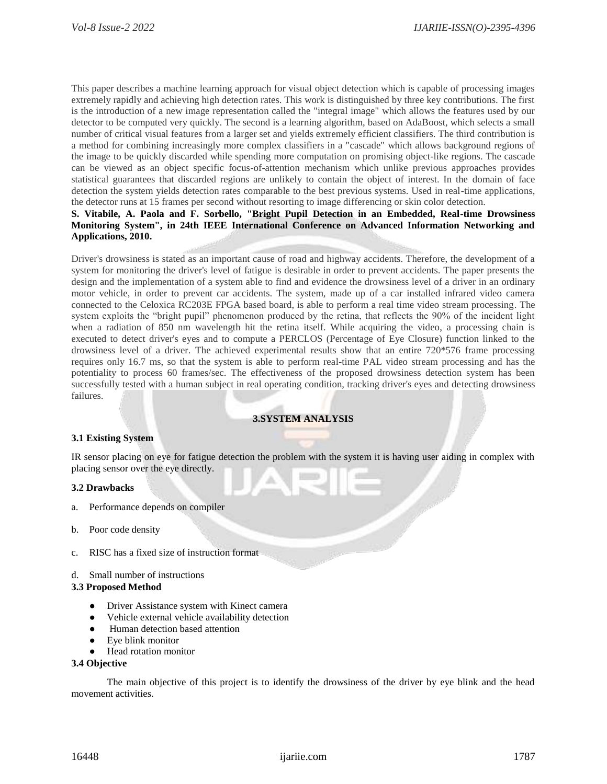This paper describes a machine learning approach for visual object detection which is capable of processing images extremely rapidly and achieving high detection rates. This work is distinguished by three key contributions. The first is the introduction of a new image representation called the "integral image" which allows the features used by our detector to be computed very quickly. The second is a learning algorithm, based on AdaBoost, which selects a small number of critical visual features from a larger set and yields extremely efficient classifiers. The third contribution is a method for combining increasingly more complex classifiers in a "cascade" which allows background regions of the image to be quickly discarded while spending more computation on promising object-like regions. The cascade can be viewed as an object specific focus-of-attention mechanism which unlike previous approaches provides statistical guarantees that discarded regions are unlikely to contain the object of interest. In the domain of face detection the system yields detection rates comparable to the best previous systems. Used in real-time applications, the detector runs at 15 frames per second without resorting to image differencing or skin color detection.

## **S. Vitabile, A. Paola and F. Sorbello, "Bright Pupil Detection in an Embedded, Real-time Drowsiness Monitoring System", in 24th IEEE International Conference on Advanced Information Networking and Applications, 2010.**

Driver's drowsiness is stated as an important cause of road and highway accidents. Therefore, the development of a system for monitoring the driver's level of fatigue is desirable in order to prevent accidents. The paper presents the design and the implementation of a system able to find and evidence the drowsiness level of a driver in an ordinary motor vehicle, in order to prevent car accidents. The system, made up of a car installed infrared video camera connected to the Celoxica RC203E FPGA based board, is able to perform a real time video stream processing. The system exploits the "bright pupil" phenomenon produced by the retina, that reflects the 90% of the incident light when a radiation of 850 nm wavelength hit the retina itself. While acquiring the video, a processing chain is executed to detect driver's eyes and to compute a PERCLOS (Percentage of Eye Closure) function linked to the drowsiness level of a driver. The achieved experimental results show that an entire 720\*576 frame processing requires only 16.7 ms, so that the system is able to perform real-time PAL video stream processing and has the potentiality to process 60 frames/sec. The effectiveness of the proposed drowsiness detection system has been successfully tested with a human subject in real operating condition, tracking driver's eyes and detecting drowsiness failures.

# **3.SYSTEM ANALYSIS**

## **3.1 Existing System**

IR sensor placing on eye for fatigue detection the problem with the system it is having user aiding in complex with placing sensor over the eye directly.

#### **3.2 Drawbacks**

- a. Performance depends on compiler
- b. Poor code density
- c. RISC has a fixed size of instruction format
- d. Small number of instructions

#### **3.3 Proposed Method**

- Driver Assistance system with Kinect camera
- Vehicle external vehicle availability detection
- Human detection based attention
- Eye blink monitor
- Head rotation monitor

#### **3.4 Objective**

The main objective of this project is to identify the drowsiness of the driver by eye blink and the head movement activities.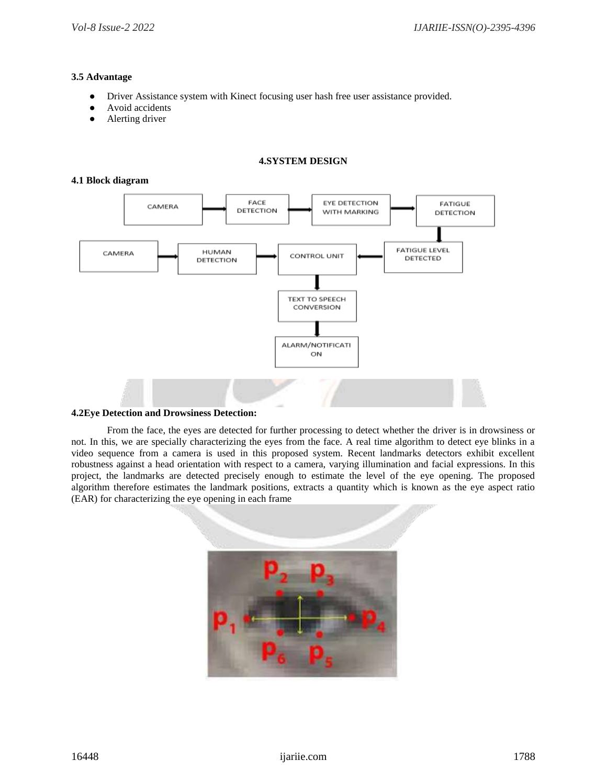# **3.5 Advantage**

- Driver Assistance system with Kinect focusing user hash free user assistance provided.
- Avoid accidents
- Alerting driver

# **4.SYSTEM DESIGN**

## **4.1 Block diagram**



## **4.2Eye Detection and Drowsiness Detection:**

From the face, the eyes are detected for further processing to detect whether the driver is in drowsiness or not. In this, we are specially characterizing the eyes from the face. A real time algorithm to detect eye blinks in a video sequence from a camera is used in this proposed system. Recent landmarks detectors exhibit excellent robustness against a head orientation with respect to a camera, varying illumination and facial expressions. In this project, the landmarks are detected precisely enough to estimate the level of the eye opening. The proposed algorithm therefore estimates the landmark positions, extracts a quantity which is known as the eye aspect ratio (EAR) for characterizing the eye opening in each frame

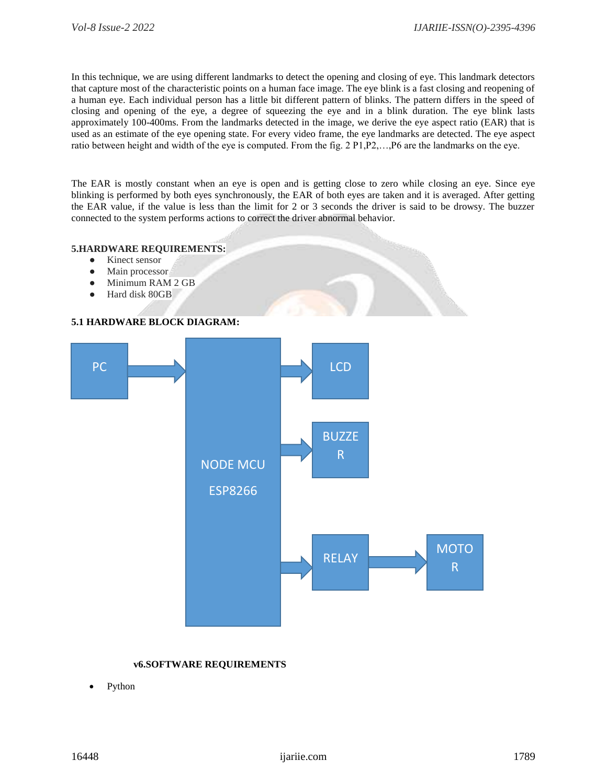In this technique, we are using different landmarks to detect the opening and closing of eye. This landmark detectors that capture most of the characteristic points on a human face image. The eye blink is a fast closing and reopening of a human eye. Each individual person has a little bit different pattern of blinks. The pattern differs in the speed of closing and opening of the eye, a degree of squeezing the eye and in a blink duration. The eye blink lasts approximately 100-400ms. From the landmarks detected in the image, we derive the eye aspect ratio (EAR) that is used as an estimate of the eye opening state. For every video frame, the eye landmarks are detected. The eye aspect ratio between height and width of the eye is computed. From the fig. 2 P1,P2,…,P6 are the landmarks on the eye.

The EAR is mostly constant when an eye is open and is getting close to zero while closing an eye. Since eye blinking is performed by both eyes synchronously, the EAR of both eyes are taken and it is averaged. After getting the EAR value, if the value is less than the limit for 2 or 3 seconds the driver is said to be drowsy. The buzzer connected to the system performs actions to correct the driver abnormal behavior.

#### **5.HARDWARE REQUIREMENTS:**

- Kinect sensor
- Main processor
- Minimum RAM 2 GB
- Hard disk 80GB

# **5.1 HARDWARE BLOCK DIAGRAM:**



## **v6.SOFTWARE REQUIREMENTS**

Python